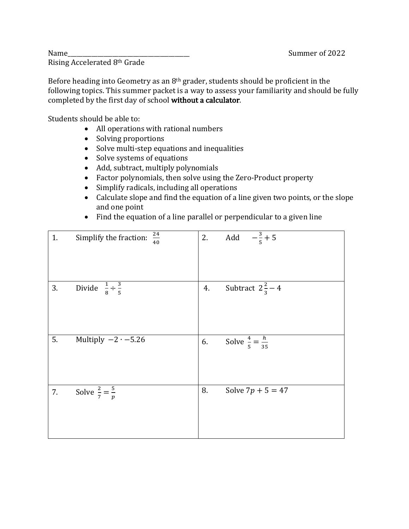Rising Accelerated 8th Grade

Before heading into Geometry as an  $8<sup>th</sup>$  grader, students should be proficient in the following topics. This summer packet is a way to assess your familiarity and should be fully completed by the first day of school without a calculator.

Students should be able to:

- All operations with rational numbers
- Solving proportions
- Solve multi-step equations and inequalities
- Solve systems of equations
- Add, subtract, multiply polynomials
- Factor polynomials, then solve using the Zero-Product property
- Simplify radicals, including all operations
- Calculate slope and find the equation of a line given two points, or the slope and one point
- Find the equation of a line parallel or perpendicular to a given line

| 1. | $\frac{24}{40}$<br>Simplify the fraction: |    | 2. Add $-\frac{3}{5}+5$            |
|----|-------------------------------------------|----|------------------------------------|
| 3. | Divide $\frac{1}{8} \div \frac{3}{5}$     | 4. | Subtract $2\frac{2}{3}$ – 4        |
| 5. | Multiply $-2 \cdot -5.26$                 | 6. | Solve $\frac{4}{5} = \frac{h}{35}$ |
| 7. | Solve $\frac{2}{7} = \frac{5}{p}$         | 8. | Solve $7p + 5 = 47$                |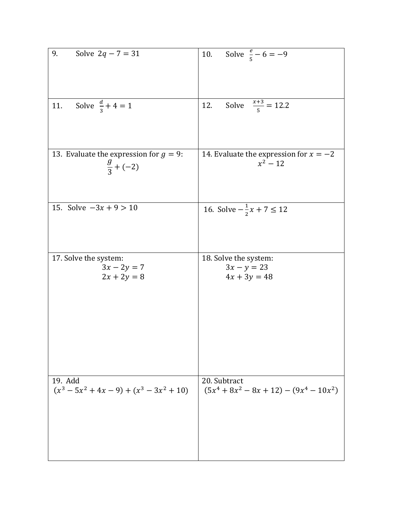| Solve $2q - 7 = 31$<br>9.                   | 10. Solve $\frac{e}{5} - 6 = -9$         |
|---------------------------------------------|------------------------------------------|
| Solve $\frac{d}{3} + 4 = 1$                 | Solve $\frac{x+3}{5} = 12.2$             |
| 11.                                         | 12.                                      |
| 13. Evaluate the expression for $g = 9$ :   | 14. Evaluate the expression for $x = -2$ |
| $\frac{g}{3}$ + (-2)                        | $x^2 - 12$                               |
| 15. Solve $-3x + 9 > 10$                    | 16. Solve $-\frac{1}{2}x + 7 \le 12$     |
| 17. Solve the system:                       | 18. Solve the system:                    |
| $3x - 2y = 7$                               | $3x - y = 23$                            |
| $2x + 2y = 8$                               | $4x + 3y = 48$                           |
| 19. Add                                     | 20. Subtract                             |
| $(x^3 - 5x^2 + 4x - 9) + (x^3 - 3x^2 + 10)$ | $(5x4 + 8x2 - 8x + 12) - (9x4 - 10x2)$   |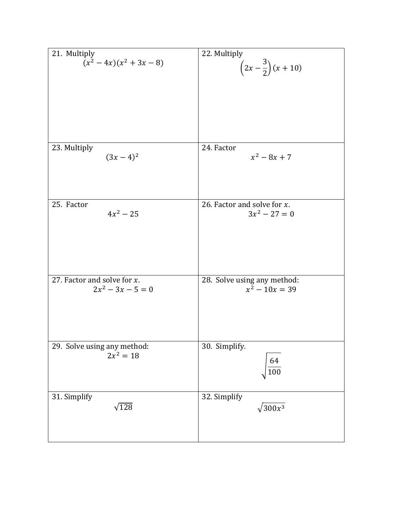| 21. Multiply                   | 22. Multiply                        |
|--------------------------------|-------------------------------------|
| $(x^2-4x)(x^2+3x-8)$           |                                     |
|                                | $\left(2x-\frac{3}{2}\right)(x+10)$ |
|                                |                                     |
|                                |                                     |
|                                |                                     |
|                                |                                     |
|                                |                                     |
|                                |                                     |
|                                |                                     |
|                                |                                     |
|                                |                                     |
| 23. Multiply                   | 24. Factor                          |
| $(3x-4)^2$                     | $x^2 - 8x + 7$                      |
|                                |                                     |
|                                |                                     |
|                                |                                     |
|                                |                                     |
|                                |                                     |
| 25. Factor                     | 26. Factor and solve for $x$ .      |
| $4x^2 - 25$                    | $3x^2 - 27 = 0$                     |
|                                |                                     |
|                                |                                     |
|                                |                                     |
|                                |                                     |
|                                |                                     |
|                                |                                     |
|                                |                                     |
|                                |                                     |
| 27. Factor and solve for $x$ . | 28. Solve using any method:         |
| $2x^2 - 3x - 5 = 0$            | $x^2 - 10x = 39$                    |
|                                |                                     |
|                                |                                     |
|                                |                                     |
|                                |                                     |
|                                |                                     |
|                                |                                     |
| 29. Solve using any method:    | 30. Simplify.                       |
|                                |                                     |
| $2x^2 = 18$                    |                                     |
|                                | $\frac{64}{100}$                    |
|                                |                                     |
|                                |                                     |
|                                |                                     |
| 31. Simplify                   | 32. Simplify                        |
| $\sqrt{128}$                   | $\sqrt{300x^3}$                     |
|                                |                                     |
|                                |                                     |
|                                |                                     |
|                                |                                     |